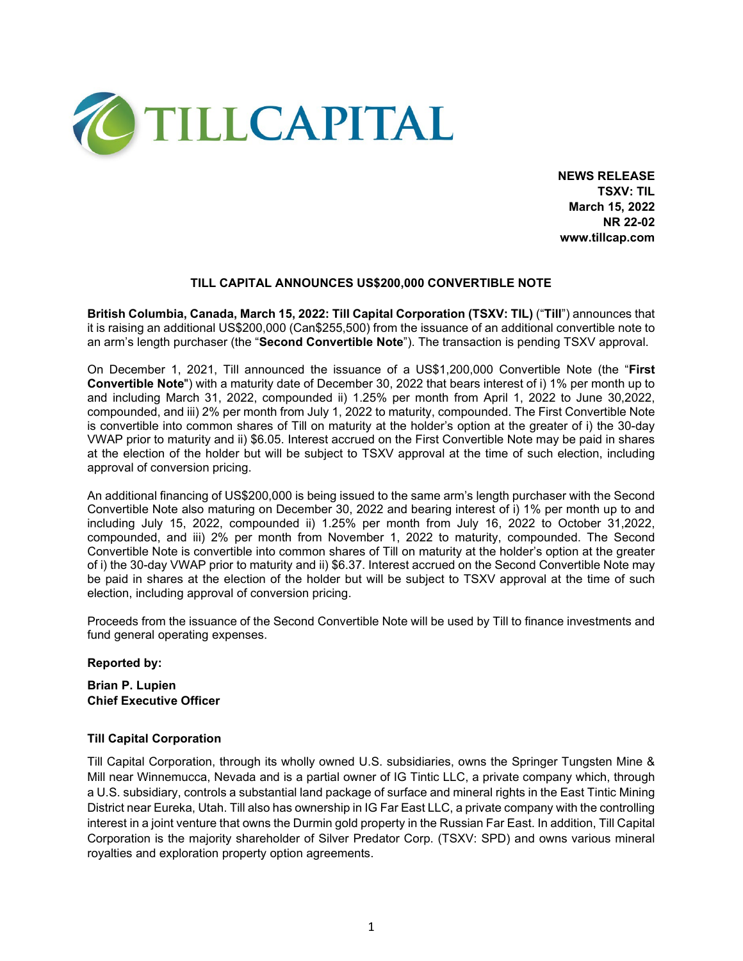

**NEWS RELEASE TSXV: TIL March 15, 2022 NR 22-02 www.tillcap.com**

### **TILL CAPITAL ANNOUNCES US\$200,000 CONVERTIBLE NOTE**

**British Columbia, Canada, March 15, 2022: Till Capital Corporation (TSXV: TIL)** ("**Till**") announces that it is raising an additional US\$200,000 (Can\$255,500) from the issuance of an additional convertible note to an arm's length purchaser (the "**Second Convertible Note**"). The transaction is pending TSXV approval.

On December 1, 2021, Till announced the issuance of a US\$1,200,000 Convertible Note (the "**First Convertible Note**") with a maturity date of December 30, 2022 that bears interest of i) 1% per month up to and including March 31, 2022, compounded ii) 1.25% per month from April 1, 2022 to June 30,2022, compounded, and iii) 2% per month from July 1, 2022 to maturity, compounded. The First Convertible Note is convertible into common shares of Till on maturity at the holder's option at the greater of i) the 30-day VWAP prior to maturity and ii) \$6.05. Interest accrued on the First Convertible Note may be paid in shares at the election of the holder but will be subject to TSXV approval at the time of such election, including approval of conversion pricing.

An additional financing of US\$200,000 is being issued to the same arm's length purchaser with the Second Convertible Note also maturing on December 30, 2022 and bearing interest of i) 1% per month up to and including July 15, 2022, compounded ii) 1.25% per month from July 16, 2022 to October 31,2022, compounded, and iii) 2% per month from November 1, 2022 to maturity, compounded. The Second Convertible Note is convertible into common shares of Till on maturity at the holder's option at the greater of i) the 30-day VWAP prior to maturity and ii) \$6.37. Interest accrued on the Second Convertible Note may be paid in shares at the election of the holder but will be subject to TSXV approval at the time of such election, including approval of conversion pricing.

Proceeds from the issuance of the Second Convertible Note will be used by Till to finance investments and fund general operating expenses.

#### **Reported by:**

### **Brian P. Lupien Chief Executive Officer**

#### **Till Capital Corporation**

Till Capital Corporation, through its wholly owned U.S. subsidiaries, owns the Springer Tungsten Mine & Mill near Winnemucca, Nevada and is a partial owner of IG Tintic LLC, a private company which, through a U.S. subsidiary, controls a substantial land package of surface and mineral rights in the East Tintic Mining District near Eureka, Utah. Till also has ownership in IG Far East LLC, a private company with the controlling interest in a joint venture that owns the Durmin gold property in the Russian Far East. In addition, Till Capital Corporation is the majority shareholder of Silver Predator Corp. (TSXV: SPD) and owns various mineral royalties and exploration property option agreements.